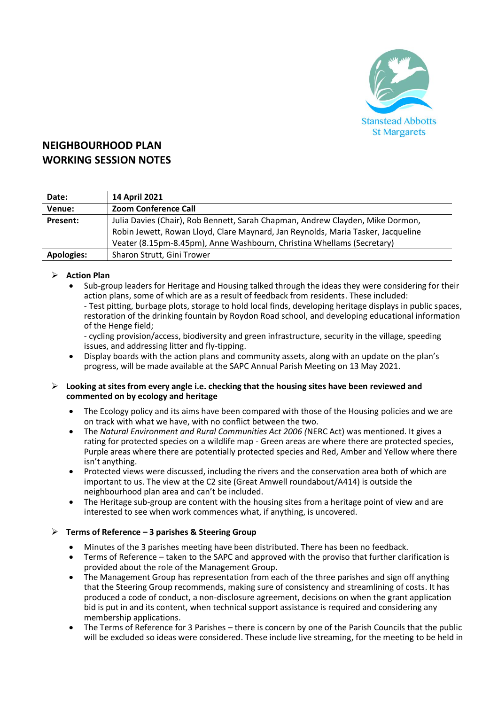

# **NEIGHBOURHOOD PLAN WORKING SESSION NOTES**

| Date:             | 14 April 2021                                                                    |
|-------------------|----------------------------------------------------------------------------------|
| Venue:            | <b>Zoom Conference Call</b>                                                      |
| Present:          | Julia Davies (Chair), Rob Bennett, Sarah Chapman, Andrew Clayden, Mike Dormon,   |
|                   | Robin Jewett, Rowan Lloyd, Clare Maynard, Jan Reynolds, Maria Tasker, Jacqueline |
|                   | Veater (8.15pm-8.45pm), Anne Washbourn, Christina Whellams (Secretary)           |
| <b>Apologies:</b> | Sharon Strutt, Gini Trower                                                       |

# ➢ **Action Plan**

Sub-group leaders for Heritage and Housing talked through the ideas they were considering for their action plans, some of which are as a result of feedback from residents. These included:

- Test pitting, burbage plots, storage to hold local finds, developing heritage displays in public spaces, restoration of the drinking fountain by Roydon Road school, and developing educational information of the Henge field;

- cycling provision/access, biodiversity and green infrastructure, security in the village, speeding issues, and addressing litter and fly-tipping.

• Display boards with the action plans and community assets, along with an update on the plan's progress, will be made available at the SAPC Annual Parish Meeting on 13 May 2021.

## ➢ **Looking at sites from every angle i.e. checking that the housing sites have been reviewed and commented on by ecology and heritage**

- The Ecology policy and its aims have been compared with those of the Housing policies and we are on track with what we have, with no conflict between the two.
- The *Natural Environment and Rural Communities Act 2006 (*NERC Act) was mentioned. It gives a rating for protected species on a wildlife map - Green areas are where there are protected species, Purple areas where there are potentially protected species and Red, Amber and Yellow where there isn't anything.
- Protected views were discussed, including the rivers and the conservation area both of which are important to us. The view at the C2 site (Great Amwell roundabout/A414) is outside the neighbourhood plan area and can't be included.
- The Heritage sub-group are content with the housing sites from a heritage point of view and are interested to see when work commences what, if anything, is uncovered.

# ➢ **Terms of Reference – 3 parishes & Steering Group**

- Minutes of the 3 parishes meeting have been distributed. There has been no feedback.
- Terms of Reference taken to the SAPC and approved with the proviso that further clarification is provided about the role of the Management Group.
- The Management Group has representation from each of the three parishes and sign off anything that the Steering Group recommends, making sure of consistency and streamlining of costs. It has produced a code of conduct, a non-disclosure agreement, decisions on when the grant application bid is put in and its content, when technical support assistance is required and considering any membership applications.
- The Terms of Reference for 3 Parishes there is concern by one of the Parish Councils that the public will be excluded so ideas were considered. These include live streaming, for the meeting to be held in